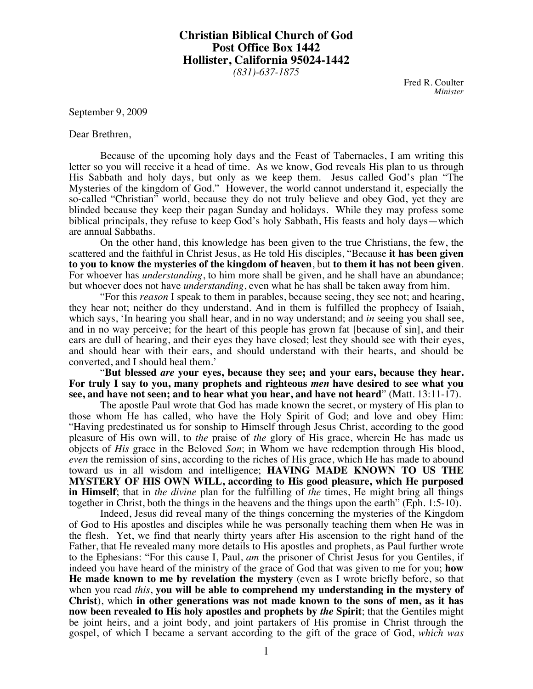**Christian Biblical Church of God Post Office Box 1442 Hollister, California 95024-1442** *(831)-637-1875*

> Fred R. Coulter *Minister*

September 9, 2009

Dear Brethren,

Because of the upcoming holy days and the Feast of Tabernacles, I am writing this letter so you will receive it a head of time. As we know, God reveals His plan to us through His Sabbath and holy days, but only as we keep them. Jesus called God's plan "The Mysteries of the kingdom of God." However, the world cannot understand it, especially the so-called "Christian" world, because they do not truly believe and obey God, yet they are blinded because they keep their pagan Sunday and holidays. While they may profess some biblical principals, they refuse to keep God's holy Sabbath, His feasts and holy days—which are annual Sabbaths.

On the other hand, this knowledge has been given to the true Christians, the few, the scattered and the faithful in Christ Jesus, as He told His disciples, "Because **it has been given to you to know the mysteries of the kingdom of heaven**, but **to them it has not been given**. For whoever has *understanding*, to him more shall be given, and he shall have an abundance; but whoever does not have *understanding*, even what he has shall be taken away from him.

"For this *reason* I speak to them in parables, because seeing, they see not; and hearing, they hear not; neither do they understand. And in them is fulfilled the prophecy of Isaiah, which says, 'In hearing you shall hear, and in no way understand; and *in* seeing you shall see, and in no way perceive; for the heart of this people has grown fat [because of sin], and their ears are dull of hearing, and their eyes they have closed; lest they should see with their eyes, and should hear with their ears, and should understand with their hearts, and should be converted, and I should heal them.'

"**But blessed** *are* **your eyes, because they see; and your ears, because they hear. For truly I say to you, many prophets and righteous** *men* **have desired to see what you see, and have not seen; and to hear what you hear, and have not heard**" (Matt. 13:11-17).

The apostle Paul wrote that God has made known the secret, or mystery of His plan to those whom He has called, who have the Holy Spirit of God; and love and obey Him: "Having predestinated us for sonship to Himself through Jesus Christ, according to the good pleasure of His own will, to *the* praise of *the* glory of His grace, wherein He has made us objects of *His* grace in the Beloved *Son*; in Whom we have redemption through His blood, *even* the remission of sins, according to the riches of His grace, which He has made to abound toward us in all wisdom and intelligence; **HAVING MADE KNOWN TO US THE MYSTERY OF HIS OWN WILL, according to His good pleasure, which He purposed in Himself**; that in *the divine* plan for the fulfilling of *the* times, He might bring all things together in Christ, both the things in the heavens and the things upon the earth" (Eph. 1:5-10).

Indeed, Jesus did reveal many of the things concerning the mysteries of the Kingdom of God to His apostles and disciples while he was personally teaching them when He was in the flesh. Yet, we find that nearly thirty years after His ascension to the right hand of the Father, that He revealed many more details to His apostles and prophets, as Paul further wrote to the Ephesians: "For this cause I, Paul, *am* the prisoner of Christ Jesus for you Gentiles, if indeed you have heard of the ministry of the grace of God that was given to me for you; **how He made known to me by revelation the mystery** (even as I wrote briefly before, so that when you read *this*, **you will be able to comprehend my understanding in the mystery of Christ**), which **in other generations was not made known to the sons of men, as it has now been revealed to His holy apostles and prophets by** *the* **Spirit**; that the Gentiles might be joint heirs, and a joint body, and joint partakers of His promise in Christ through the gospel, of which I became a servant according to the gift of the grace of God, *which was*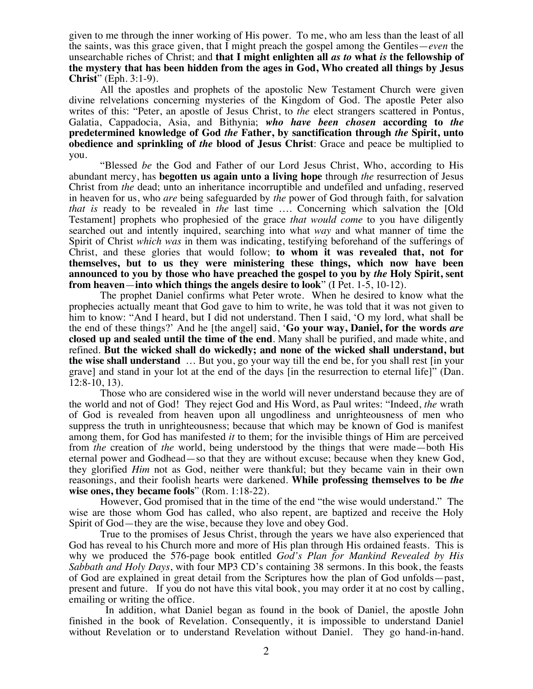given to me through the inner working of His power. To me, who am less than the least of all the saints, was this grace given, that I might preach the gospel among the Gentiles—*even* the unsearchable riches of Christ; and **that I might enlighten all** *as to* **what** *is* **the fellowship of the mystery that has been hidden from the ages in God, Who created all things by Jesus Christ**" (Eph. 3:1-9).

All the apostles and prophets of the apostolic New Testament Church were given divine relvelations concerning mysteries of the Kingdom of God. The apostle Peter also writes of this: "Peter, an apostle of Jesus Christ, to *the* elect strangers scattered in Pontus, Galatia, Cappadocia, Asia, and Bithynia; *who have been chosen* **according to** *the* **predetermined knowledge of God** *the* **Father, by sanctification through** *the* **Spirit, unto obedience and sprinkling of** *the* **blood of Jesus Christ**: Grace and peace be multiplied to you.

"Blessed *be* the God and Father of our Lord Jesus Christ, Who, according to His abundant mercy, has **begotten us again unto a living hope** through *the* resurrection of Jesus Christ from *the* dead; unto an inheritance incorruptible and undefiled and unfading, reserved in heaven for us, who *are* being safeguarded by *the* power of God through faith, for salvation *that is* ready to be revealed in *the* last time …. Concerning which salvation the [Old Testament] prophets who prophesied of the grace *that would come* to you have diligently searched out and intently inquired, searching into what *way* and what manner of time the Spirit of Christ *which was* in them was indicating, testifying beforehand of the sufferings of Christ, and these glories that would follow; **to whom it was revealed that, not for themselves, but to us they were ministering these things, which now have been announced to you by those who have preached the gospel to you by** *the* **Holy Spirit, sent from heaven**—**into which things the angels desire to look**" (I Pet. 1-5, 10-12).

The prophet Daniel confirms what Peter wrote. When he desired to know what the prophecies actually meant that God gave to him to write, he was told that it was not given to him to know: "And I heard, but I did not understand. Then I said, 'O my lord, what shall be the end of these things?' And he [the angel] said, '**Go your way, Daniel, for the words** *are* **closed up and sealed until the time of the end**. Many shall be purified, and made white, and refined. **But the wicked shall do wickedly; and none of the wicked shall understand, but the wise shall understand** … But you, go your way till the end be, for you shall rest [in your grave] and stand in your lot at the end of the days [in the resurrection to eternal life]" (Dan. 12:8-10, 13).

Those who are considered wise in the world will never understand because they are of the world and not of God! They reject God and His Word, as Paul writes: "Indeed, *the* wrath of God is revealed from heaven upon all ungodliness and unrighteousness of men who suppress the truth in unrighteousness; because that which may be known of God is manifest among them, for God has manifested *it* to them; for the invisible things of Him are perceived from *the* creation of *the* world, being understood by the things that were made—both His eternal power and Godhead—so that they are without excuse; because when they knew God, they glorified *Him* not as God, neither were thankful; but they became vain in their own reasonings, and their foolish hearts were darkened. **While professing themselves to be** *the* **wise ones, they became fools**" (Rom. 1:18-22).

However, God promised that in the time of the end "the wise would understand." The wise are those whom God has called, who also repent, are baptized and receive the Holy Spirit of God—they are the wise, because they love and obey God.

True to the promises of Jesus Christ, through the years we have also experienced that God has reveal to his Church more and more of His plan through His ordained feasts. This is why we produced the 576-page book entitled *God's Plan for Mankind Revealed by His Sabbath and Holy Days*, with four MP3 CD's containing 38 sermons. In this book, the feasts of God are explained in great detail from the Scriptures how the plan of God unfolds—past, present and future. If you do not have this vital book, you may order it at no cost by calling, emailing or writing the office.

 In addition, what Daniel began as found in the book of Daniel, the apostle John finished in the book of Revelation. Consequently, it is impossible to understand Daniel without Revelation or to understand Revelation without Daniel. They go hand-in-hand.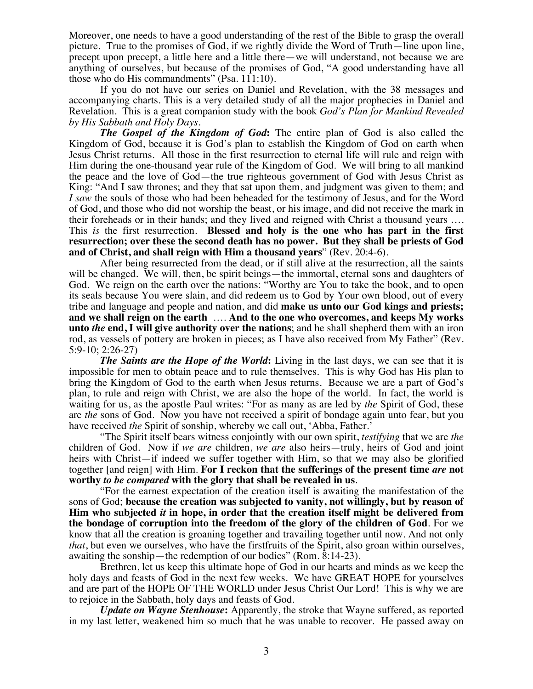Moreover, one needs to have a good understanding of the rest of the Bible to grasp the overall picture. True to the promises of God, if we rightly divide the Word of Truth—line upon line, precept upon precept, a little here and a little there—we will understand, not because we are anything of ourselves, but because of the promises of God, "A good understanding have all those who do His commandments" (Psa. 111:10).

If you do not have our series on Daniel and Revelation, with the 38 messages and accompanying charts. This is a very detailed study of all the major prophecies in Daniel and Revelation. This is a great companion study with the book *God's Plan for Mankind Revealed by His Sabbath and Holy Days*.

*The Gospel of the Kingdom of God***:** The entire plan of God is also called the Kingdom of God, because it is God's plan to establish the Kingdom of God on earth when Jesus Christ returns. All those in the first resurrection to eternal life will rule and reign with Him during the one-thousand year rule of the Kingdom of God. We will bring to all mankind the peace and the love of God—the true righteous government of God with Jesus Christ as King: "And I saw thrones; and they that sat upon them, and judgment was given to them; and *I saw* the souls of those who had been beheaded for the testimony of Jesus, and for the Word of God, and those who did not worship the beast, or his image, and did not receive the mark in their foreheads or in their hands; and they lived and reigned with Christ a thousand years …. This *is* the first resurrection. **Blessed and holy is the one who has part in the first resurrection; over these the second death has no power. But they shall be priests of God and of Christ, and shall reign with Him a thousand years**" (Rev. 20:4-6).

After being resurrected from the dead, or if still alive at the resurrection, all the saints will be changed. We will, then, be spirit beings—the immortal, eternal sons and daughters of God. We reign on the earth over the nations: "Worthy are You to take the book, and to open its seals because You were slain, and did redeem us to God by Your own blood, out of every tribe and language and people and nation, and did **make us unto our God kings and priests; and we shall reign on the earth** …. **And to the one who overcomes, and keeps My works unto** *the* **end, I will give authority over the nations**; and he shall shepherd them with an iron rod, as vessels of pottery are broken in pieces; as I have also received from My Father" (Rev. 5:9-10; 2:26-27)

*The Saints are the Hope of the World***:** Living in the last days, we can see that it is impossible for men to obtain peace and to rule themselves. This is why God has His plan to bring the Kingdom of God to the earth when Jesus returns. Because we are a part of God's plan, to rule and reign with Christ, we are also the hope of the world. In fact, the world is waiting for us, as the apostle Paul writes: "For as many as are led by *the* Spirit of God, these are *the* sons of God. Now you have not received a spirit of bondage again unto fear, but you have received *the* Spirit of sonship, whereby we call out, 'Abba, Father.'

"The Spirit itself bears witness conjointly with our own spirit, *testifying* that we are *the* children of God. Now if *we are* children, *we are* also heirs—truly, heirs of God and joint heirs with Christ—if indeed we suffer together with Him, so that we may also be glorified together [and reign] with Him. **For I reckon that the sufferings of the present time** *are* **not worthy** *to be compared* **with the glory that shall be revealed in us**.

"For the earnest expectation of the creation itself is awaiting the manifestation of the sons of God; **because the creation was subjected to vanity, not willingly, but by reason of Him who subjected** *it* **in hope, in order that the creation itself might be delivered from the bondage of corruption into the freedom of the glory of the children of God**. For we know that all the creation is groaning together and travailing together until now. And not only *that*, but even we ourselves, who have the firstfruits of the Spirit, also groan within ourselves, awaiting the sonship—the redemption of our bodies" (Rom. 8:14-23).

Brethren, let us keep this ultimate hope of God in our hearts and minds as we keep the holy days and feasts of God in the next few weeks. We have GREAT HOPE for yourselves and are part of the HOPE OF THE WORLD under Jesus Christ Our Lord! This is why we are to rejoice in the Sabbath, holy days and feasts of God.

*Update on Wayne Stenhouse***:** Apparently, the stroke that Wayne suffered, as reported in my last letter, weakened him so much that he was unable to recover. He passed away on